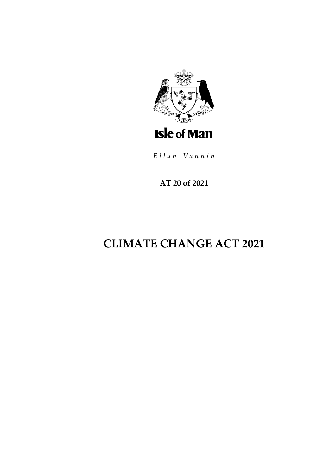

Ellan Vannin

**AT 20 of 2021**

# **CLIMATE CHANGE ACT 2021**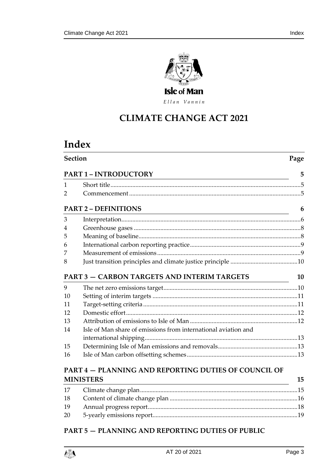

Ellan Vannin

# **CLIMATE CHANGE ACT 2 021**

# **Index**

| Section<br>Page<br><b>PART 1 - INTRODUCTORY</b><br><u> 1989 - Johann Stoff, amerikansk politiker (d. 1989)</u> |                                                                                          |    |
|----------------------------------------------------------------------------------------------------------------|------------------------------------------------------------------------------------------|----|
|                                                                                                                |                                                                                          |    |
| 2                                                                                                              |                                                                                          |    |
|                                                                                                                | <b>PART 2 - DEFINITIONS</b><br><u> 1989 - Johann Barnett, fransk politiker (d. 1989)</u> | 6  |
| 3                                                                                                              |                                                                                          |    |
| 4                                                                                                              |                                                                                          |    |
| 5                                                                                                              |                                                                                          |    |
| 6                                                                                                              |                                                                                          |    |
| 7                                                                                                              |                                                                                          |    |
| 8                                                                                                              |                                                                                          |    |
|                                                                                                                | PART 3 - CARBON TARGETS AND INTERIM TARGETS                                              | 10 |
| 9                                                                                                              |                                                                                          |    |
| 10                                                                                                             |                                                                                          |    |
| 11                                                                                                             |                                                                                          |    |
| 12                                                                                                             |                                                                                          |    |
| 13                                                                                                             |                                                                                          |    |
| 14                                                                                                             | Isle of Man share of emissions from international aviation and                           |    |
|                                                                                                                |                                                                                          |    |
| 15                                                                                                             |                                                                                          |    |
| 16                                                                                                             |                                                                                          |    |
|                                                                                                                | <b>PART 4 – PLANNING AND REPORTING DUTIES OF COUNCIL OF</b>                              |    |

# **PART 4 — [PLANNING AND REPORTING DUTIES OF COUNCIL OF](#page-14-0)  [MINISTERS](#page-14-0) 15**

| 18 |  |
|----|--|
| 19 |  |
| 20 |  |
|    |  |

# **PART 5 — [PLANNING AND REPORTING DUTIES OF PUBLIC](#page-20-0)**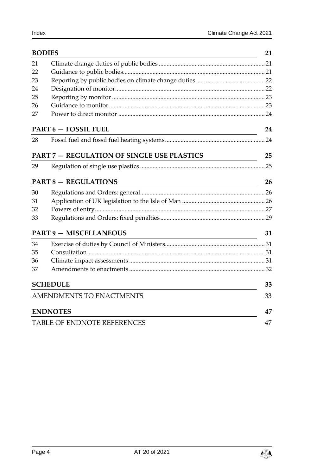| <b>BODIES</b>                   |                                                   |    |  |
|---------------------------------|---------------------------------------------------|----|--|
| 21                              |                                                   |    |  |
| 22                              |                                                   |    |  |
| 23                              |                                                   |    |  |
| 24                              |                                                   |    |  |
| 25                              |                                                   |    |  |
| 26                              |                                                   |    |  |
| 27                              |                                                   |    |  |
|                                 | <b>PART 6 - FOSSIL FUEL</b>                       | 24 |  |
| 28                              |                                                   |    |  |
|                                 | <b>PART 7 - REGULATION OF SINGLE USE PLASTICS</b> | 25 |  |
| 29                              |                                                   |    |  |
|                                 | <b>PART 8 - REGULATIONS</b>                       | 26 |  |
| 30                              |                                                   |    |  |
| 31                              |                                                   |    |  |
| 32                              |                                                   |    |  |
| 33                              |                                                   |    |  |
|                                 | <b>PART 9 - MISCELLANEOUS</b>                     | 31 |  |
| 34                              |                                                   |    |  |
| 35                              |                                                   |    |  |
| 36                              |                                                   |    |  |
| 37                              |                                                   |    |  |
|                                 | <b>SCHEDULE</b>                                   | 33 |  |
| <b>AMENDMENTS TO ENACTMENTS</b> |                                                   |    |  |
|                                 | <b>ENDNOTES</b>                                   |    |  |
|                                 | <b>TABLE OF ENDNOTE REFERENCES</b>                | 47 |  |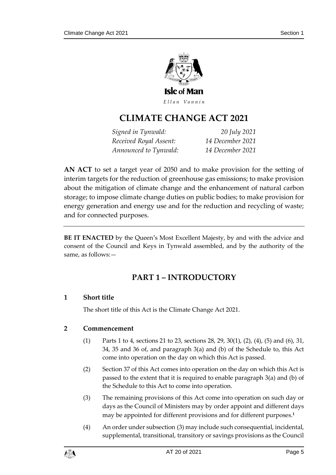

Ellan Vannin

# **CLIMATE CHANGE ACT 2 021**

*Signed in Tynwald: 20 July 2021 Received Royal Assent: 14 December 2021 Announced to Tynwald: 14 December 2021*

**AN ACT** to set a target year of 2050 and to make provision for the setting of interim targets for the reduction of greenhouse gas emissions; to make provision about the mitigation of climate change and the enhancement of natural carbon storage; to impose climate change duties on public bodies; to make provision for energy generation and energy use and for the reduction and recycling of waste; and for connected purposes.

<span id="page-4-0"></span>**BE IT ENACTED** by the Queen's Most Excellent Majesty, by and with the advice and consent of the Council and Keys in Tynwald assembled, and by the authority of the same, as follows:—

# **PART 1 – INTRODUCTORY**

# <span id="page-4-1"></span>**1 Short title**

The short title of this Act is the Climate Change Act 2021.

### <span id="page-4-2"></span>**2 Commencement**

- (1) Parts 1 to 4, sections [21](#page-20-1) to [23,](#page-21-0) sections [28,](#page-23-2) [29,](#page-24-1) [30\(1\),](#page-25-3) (2), (4), (5) and (6), [31,](#page-25-2) [34,](#page-30-1) [35](#page-30-2) and [36](#page-30-3) of, and paragraph [3\(](#page-41-0)a) and (b) of the Schedule to, this Act come into operation on the day on which this Act is passed.
- (2) Section [37](#page-31-0) of this Act comes into operation on the day on which this Act is passed to the extent that it is required to enable paragraph [3\(](#page-41-0)a) and (b) of the Schedule to this Act to come into operation.
- (3) The remaining provisions of this Act come into operation on such day or days as the Council of Ministers may by order appoint and different days may be appointed for different provisions and for different purposes.**<sup>1</sup>**
- (4) An order under subsection (3) may include such consequential, incidental, supplemental, transitional, transitory or savings provisions as the Council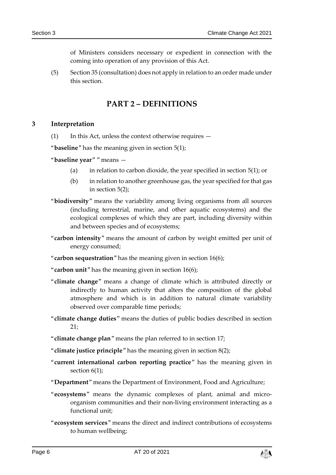of Ministers considers necessary or expedient in connection with the coming into operation of any provision of this Act.

<span id="page-5-0"></span>(5) Section [35](#page-30-2) (consultation) does not apply in relation to an order made under this section.

# **PART 2 – DEFINITIONS**

### <span id="page-5-1"></span>**3 Interpretation**

(1) In this Act, unless the context otherwise requires —

"**baseline**" has the meaning given in section [5\(1\);](#page-7-2)

- "**baseline year**" " means
	- (a) in relation to carbon dioxide, the year specified in section  $5(1)$ ; or
	- (b) in relation to another greenhouse gas, the year specified for that gas in section [5\(2\);](#page-7-3)
- "**biodiversity**" means the variability among living organisms from all sources (including terrestrial, marine, and other aquatic ecosystems) and the ecological complexes of which they are part, including diversity within and between species and of ecosystems;
- "**carbon intensity**" means the amount of carbon by weight emitted per unit of energy consumed;
- "**carbon sequestration**" has the meaning given in section [16\(6\);](#page-14-2)
- "**carbon unit**" has the meaning given in section [16\(6\);](#page-14-2)
- "**climate change**" means a change of climate which is attributed directly or indirectly to human activity that alters the composition of the global atmosphere and which is in addition to natural climate variability observed over comparable time periods;
- "**climate change duties**" means the duties of public bodies described in section  $21:$
- "**climate change plan**" means the plan referred to in section [17;](#page-14-1)
- "**climate justice principle**" has the meaning given in section [8\(2\);](#page-9-3)
- "**current international carbon reporting practice**" has the meaning given in section  $6(1)$ ;
- "**Department**" means the Department of Environment, Food and Agriculture;
- "**ecosystems**" means the dynamic complexes of plant, animal and microorganism communities and their non-living environment interacting as a functional unit;
- "**ecosystem services**" means the direct and indirect contributions of ecosystems to human wellbeing;

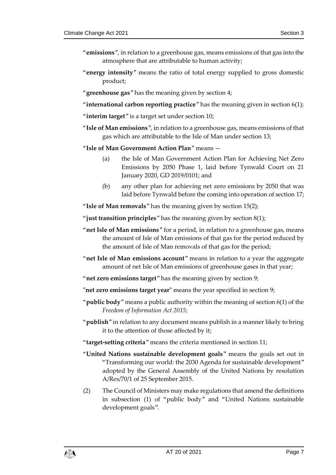- "**emissions**", in relation to a greenhouse gas, means emissions of that gas into the atmosphere that are attributable to human activity;
- "**energy intensity**" means the ratio of total energy supplied to gross domestic product;
- "**greenhouse gas**" has the meaning given by section [4;](#page-7-0)
- "**international carbon reporting practice**" has the meaning given in section [6\(1\);](#page-8-2)
- "**interim target**" is a target set under section [10;](#page-10-0)
- "**Isle of Man emissions**", in relation to a greenhouse gas, means emissions of that gas which are attributable to the Isle of Man under sectio[n 13;](#page-11-1)
- "**Isle of Man Government Action Plan**" means
	- (a) the Isle of Man Government Action Plan for Achieving Net Zero Emissions by 2050 Phase 1, laid before Tynwald Court on 21 January 2020, GD 2019/0101; and
	- (b) any other plan for achieving net zero emissions by 2050 that was laid before Tynwald before the coming into operation of section [17;](#page-14-1)

"**Isle of Man removals**" has the meaning given by section [15\(2\);](#page-12-3)

- "**just transition principles**" has the meaning given by section [8\(1\);](#page-9-4)
- "**net Isle of Man emissions**" for a period, in relation to a greenhouse gas, means the amount of Isle of Man emissions of that gas for the period reduced by the amount of Isle of Man removals of that gas for the period;
- "**net Isle of Man emissions account**" means in relation to a year the aggregate amount of net Isle of Man emissions of greenhouse gases in that year;
- "**net zero emissions target**" has the meaning given by section [9;](#page-9-2)
- **"net zero emissions target year"** means the year specified in section [9;](#page-9-2)
- "**public body**" means a public authority within the meaning of section 6(1) of the *Freedom of Information Act 2015*;
- "**publish**" in relation to any document means publish in a manner likely to bring it to the attention of those affected by it;
- "**target-setting criteria**" means the criteria mentioned in section [11;](#page-10-1)
- "**United Nations sustainable development goals**" means the goals set out in "Transforming our world: the 2030 Agenda for sustainable development" adopted by the General Assembly of the United Nations by resolution A/Res/70/1 of 25 September 2015.
- (2) The Council of Ministers may make regulations that amend the definitions in subsection (1) of "public body" and "United Nations sustainable development goals".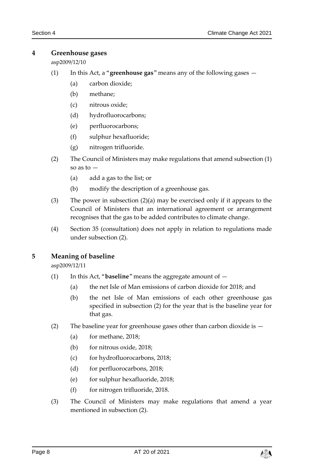### <span id="page-7-0"></span>**4 Greenhouse gases**

asp2009/12/10

- (1) In this Act, a "**greenhouse gas**" means any of the following gases
	- (a) carbon dioxide;
	- (b) methane;
	- (c) nitrous oxide;
	- (d) hydrofluorocarbons;
	- (e) perfluorocarbons;
	- (f) sulphur hexafluoride;
	- (g) nitrogen trifluoride.
- <span id="page-7-4"></span>(2) The Council of Ministers may make regulations that amend subsection (1) so as to —
	- (a) add a gas to the list; or
	- (b) modify the description of a greenhouse gas.
- (3) The power in subsection (2)(a) may be exercised only if it appears to the Council of Ministers that an international agreement or arrangement recognises that the gas to be added contributes to climate change.
- (4) Section [35](#page-30-2) (consultation) does not apply in relation to regulations made under subsection (2).

# <span id="page-7-2"></span><span id="page-7-1"></span>**5 Meaning of baseline**

asp2009/12/11

- (1) In this Act, "**baseline**" means the aggregate amount of
	- (a) the net Isle of Man emissions of carbon dioxide for 2018; and
	- (b) the net Isle of Man emissions of each other greenhouse gas specified in subsection (2) for the year that is the baseline year for that gas.
- <span id="page-7-3"></span>(2) The baseline year for greenhouse gases other than carbon dioxide is —
	- (a) for methane, 2018;
	- (b) for nitrous oxide, 2018;
	- (c) for hydrofluorocarbons, 2018;
	- (d) for perfluorocarbons, 2018;
	- (e) for sulphur hexafluoride, 2018;
	- (f) for nitrogen trifluoride, 2018.
- (3) The Council of Ministers may make regulations that amend a year mentioned in subsection (2).

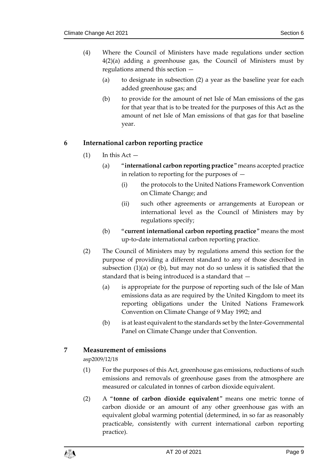- (4) Where the Council of Ministers have made regulations under section [4\(2\)\(](#page-7-4)a) adding a greenhouse gas, the Council of Ministers must by regulations amend this section —
	- (a) to designate in subsection (2) a year as the baseline year for each added greenhouse gas; and
	- (b) to provide for the amount of net Isle of Man emissions of the gas for that year that is to be treated for the purposes of this Act as the amount of net Isle of Man emissions of that gas for that baseline year.

# <span id="page-8-2"></span><span id="page-8-0"></span>**6 International carbon reporting practice**

- $(1)$  In this Act  $-$ 
	- (a) "**international carbon reporting practice**" means accepted practice in relation to reporting for the purposes of —
		- (i) the protocols to the United Nations Framework Convention on Climate Change; and
		- (ii) such other agreements or arrangements at European or international level as the Council of Ministers may by regulations specify;
	- (b) "**current international carbon reporting practice**" means the most up-to-date international carbon reporting practice.
- (2) The Council of Ministers may by regulations amend this section for the purpose of providing a different standard to any of those described in subsection (1)(a) or (b), but may not do so unless it is satisfied that the standard that is being introduced is a standard that —
	- (a) is appropriate for the purpose of reporting such of the Isle of Man emissions data as are required by the United Kingdom to meet its reporting obligations under the United Nations Framework Convention on Climate Change of 9 May 1992; and
	- (b) is at least equivalent to the standards set by the Inter-Governmental Panel on Climate Change under that Convention.

# <span id="page-8-1"></span>**7 Measurement of emissions**

asp2009/12/18

- (1) For the purposes of this Act, greenhouse gas emissions, reductions of such emissions and removals of greenhouse gases from the atmosphere are measured or calculated in tonnes of carbon dioxide equivalent.
- (2) A "**tonne of carbon dioxide equivalent**" means one metric tonne of carbon dioxide or an amount of any other greenhouse gas with an equivalent global warming potential (determined, in so far as reasonably practicable, consistently with current international carbon reporting practice).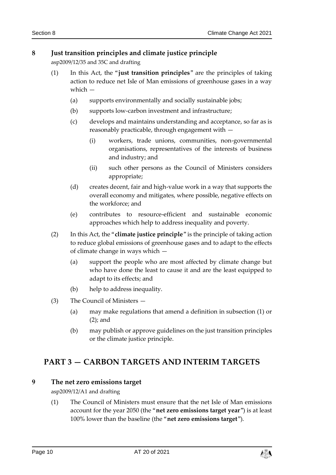### <span id="page-9-4"></span><span id="page-9-0"></span>**8 Just transition principles and climate justice principle**

asp2009/12/35 and 35C and drafting

- (1) In this Act, the "**just transition principles**" are the principles of taking action to reduce net Isle of Man emissions of greenhouse gases in a way which —
	- (a) supports environmentally and socially sustainable jobs;
	- (b) supports low-carbon investment and infrastructure;
	- (c) develops and maintains understanding and acceptance, so far as is reasonably practicable, through engagement with —
		- (i) workers, trade unions, communities, non-governmental organisations, representatives of the interests of business and industry; and
		- (ii) such other persons as the Council of Ministers considers appropriate;
	- (d) creates decent, fair and high-value work in a way that supports the overall economy and mitigates, where possible, negative effects on the workforce; and
	- (e) contributes to resource-efficient and sustainable economic approaches which help to address inequality and poverty.
- <span id="page-9-3"></span>(2) In this Act, the "**climate justice principle**" is the principle of taking action to reduce global emissions of greenhouse gases and to adapt to the effects of climate change in ways which —
	- (a) support the people who are most affected by climate change but who have done the least to cause it and are the least equipped to adapt to its effects; and
	- (b) help to address inequality.
- (3) The Council of Ministers
	- (a) may make regulations that amend a definition in subsection (1) or (2); and
	- (b) may publish or approve guidelines on the just transition principles or the climate justice principle.

# <span id="page-9-1"></span>**PART 3 — CARBON TARGETS AND INTERIM TARGETS**

### <span id="page-9-2"></span>**9 The net zero emissions target**

asp2009/12/A1 and drafting

(1) The Council of Ministers must ensure that the net Isle of Man emissions account for the year 2050 (the "**net zero emissions target year**") is at least 100% lower than the baseline (the "**net zero emissions target**").

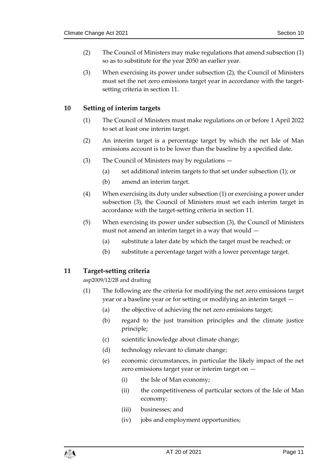- (2) The Council of Ministers may make regulations that amend subsection (1) so as to substitute for the year 2050 an earlier year.
- (3) When exercising its power under subsection (2), the Council of Ministers must set the net zero emissions target year in accordance with the targetsetting criteria in section [11.](#page-10-1)

### <span id="page-10-0"></span>**10 Setting of interim targets**

- (1) The Council of Ministers must make regulations on or before 1 April 2022 to set at least one interim target.
- (2) An interim target is a percentage target by which the net Isle of Man emissions account is to be lower than the baseline by a specified date.
- (3) The Council of Ministers may by regulations
	- (a) set additional interim targets to that set under subsection (1); or
	- (b) amend an interim target.
- (4) When exercising its duty under subsection (1) or exercising a power under subsection (3), the Council of Ministers must set each interim target in accordance with the target-setting criteria in section [11.](#page-10-1)
- (5) When exercising its power under subsection (3), the Council of Ministers must not amend an interim target in a way that would —
	- (a) substitute a later date by which the target must be reached; or
	- (b) substitute a percentage target with a lower percentage target.

#### <span id="page-10-1"></span>**11 Target-setting criteria**

asp2009/12/2B and drafting

- (1) The following are the criteria for modifying the net zero emissions target year or a baseline year or for setting or modifying an interim target —
	- (a) the objective of achieving the net zero emissions target;
	- (b) regard to the just transition principles and the climate justice principle;
	- (c) scientific knowledge about climate change;
	- (d) technology relevant to climate change;
	- (e) economic circumstances, in particular the likely impact of the net zero emissions target year or interim target on —
		- (i) the Isle of Man economy;
		- (ii) the competitiveness of particular sectors of the Isle of Man economy;
		- (iii) businesses; and
		- (iv) jobs and employment opportunities;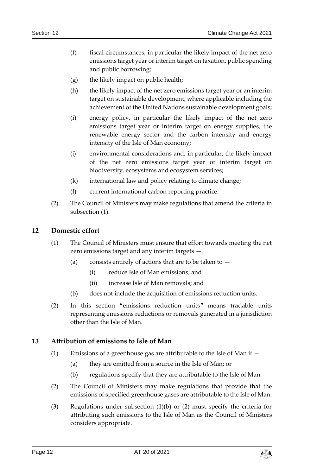- (f) fiscal circumstances, in particular the likely impact of the net zero emissions target year or interim target on taxation, public spending and public borrowing;
- (g) the likely impact on public health;
- (h) the likely impact of the net zero emissions target year or an interim target on sustainable development, where applicable including the achievement of the United Nations sustainable development goals;
- (i) energy policy, in particular the likely impact of the net zero emissions target year or interim target on energy supplies, the renewable energy sector and the carbon intensity and energy intensity of the Isle of Man economy;
- (j) environmental considerations and, in particular, the likely impact of the net zero emissions target year or interim target on biodiversity, ecosystems and ecosystem services;
- (k) international law and policy relating to climate change;
- (l) current international carbon reporting practice.
- (2) The Council of Ministers may make regulations that amend the criteria in subsection (1).

### <span id="page-11-0"></span>**12 Domestic effort**

- (1) The Council of Ministers must ensure that effort towards meeting the net zero emissions target and any interim targets —
	- (a) consists entirely of actions that are to be taken to  $-$ 
		- (i) reduce Isle of Man emissions; and
		- (ii) increase Isle of Man removals; and
	- (b) does not include the acquisition of emissions reduction units.
- (2) In this section "emissions reduction units" means tradable units representing emissions reductions or removals generated in a jurisdiction other than the Isle of Man.

#### <span id="page-11-1"></span>**13 Attribution of emissions to Isle of Man**

- (1) Emissions of a greenhouse gas are attributable to the Isle of Man if
	- (a) they are emitted from a source in the Isle of Man; or
	- (b) regulations specify that they are attributable to the Isle of Man.
- <span id="page-11-2"></span>(2) The Council of Ministers may make regulations that provide that the emissions of specified greenhouse gases are attributable to the Isle of Man.
- (3) Regulations under subsection (1)(b) or (2) must specify the criteria for attributing such emissions to the Isle of Man as the Council of Ministers considers appropriate.

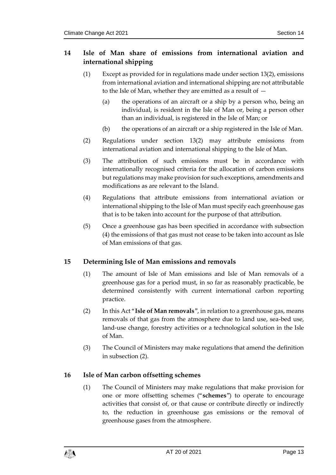# <span id="page-12-0"></span>**14 Isle of Man share of emissions from international aviation and international shipping**

- (1) Except as provided for in regulations made under sectio[n 13\(2\),](#page-11-2) emissions from international aviation and international shipping are not attributable to the Isle of Man, whether they are emitted as a result of  $-$ 
	- (a) the operations of an aircraft or a ship by a person who, being an individual, is resident in the Isle of Man or, being a person other than an individual, is registered in the Isle of Man; or
	- (b) the operations of an aircraft or a ship registered in the Isle of Man.
- (2) Regulations under section [13\(2\)](#page-11-2) may attribute emissions from international aviation and international shipping to the Isle of Man.
- (3) The attribution of such emissions must be in accordance with internationally recognised criteria for the allocation of carbon emissions but regulations may make provision for such exceptions, amendments and modifications as are relevant to the Island.
- (4) Regulations that attribute emissions from international aviation or international shipping to the Isle of Man must specify each greenhouse gas that is to be taken into account for the purpose of that attribution.
- (5) Once a greenhouse gas has been specified in accordance with subsection (4) the emissions of that gas must not cease to be taken into account as Isle of Man emissions of that gas.

# <span id="page-12-1"></span>**15 Determining Isle of Man emissions and removals**

- (1) The amount of Isle of Man emissions and Isle of Man removals of a greenhouse gas for a period must, in so far as reasonably practicable, be determined consistently with current international carbon reporting practice.
- <span id="page-12-3"></span>(2) In this Act "**Isle of Man removals**", in relation to a greenhouse gas, means removals of that gas from the atmosphere due to land use, sea-bed use, land-use change, forestry activities or a technological solution in the Isle of Man.
- (3) The Council of Ministers may make regulations that amend the definition in subsection (2).

# <span id="page-12-2"></span>**16 Isle of Man carbon offsetting schemes**

(1) The Council of Ministers may make regulations that make provision for one or more offsetting schemes ("**schemes**") to operate to encourage activities that consist of, or that cause or contribute directly or indirectly to, the reduction in greenhouse gas emissions or the removal of greenhouse gases from the atmosphere.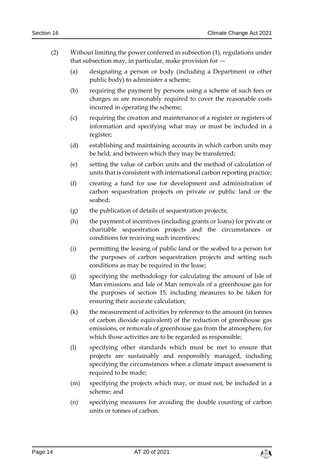- (2) Without limiting the power conferred in subsection (1), regulations under that subsection may, in particular, make provision for  $-$ 
	- (a) designating a person or body (including a Department or other public body) to administer a scheme;
	- (b) requiring the payment by persons using a scheme of such fees or charges as are reasonably required to cover the reasonable costs incurred in operating the scheme;
	- (c) requiring the creation and maintenance of a register or registers of information and specifying what may or must be included in a register;
	- (d) establishing and maintaining accounts in which carbon units may be held, and between which they may be transferred;
	- (e) setting the value of carbon units and the method of calculation of units that is consistent with international carbon reporting practice;
	- (f) creating a fund for use for development and administration of carbon sequestration projects on private or public land or the seabed;
	- (g) the publication of details of sequestration projects;
	- (h) the payment of incentives (including grants or loans) for private or charitable sequestration projects and the circumstances or conditions for receiving such incentives;
	- (i) permitting the leasing of public land or the seabed to a person for the purposes of carbon sequestration projects and setting such conditions as may be required in the lease;
	- (j) specifying the methodology for calculating the amount of Isle of Man emissions and Isle of Man removals of a greenhouse gas for the purposes of section [15,](#page-12-1) including measures to be taken for ensuring their accurate calculation;
	- (k) the measurement of activities by reference to the amount (in tonnes of carbon dioxide equivalent) of the reduction of greenhouse gas emissions, or removals of greenhouse gas from the atmosphere, for which those activities are to be regarded as responsible;
	- (l) specifying other standards which must be met to ensure that projects are sustainably and responsibly managed, including specifying the circumstances when a climate impact assessment is required to be made;
	- (m) specifying the projects which may, or must not, be included in a scheme; and
	- (n) specifying measures for avoiding the double counting of carbon units or tonnes of carbon.

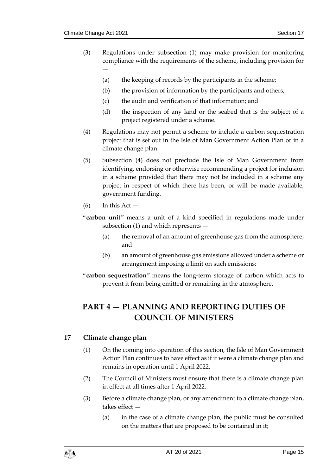- (3) Regulations under subsection (1) may make provision for monitoring compliance with the requirements of the scheme, including provision for —
	- (a) the keeping of records by the participants in the scheme;
	- (b) the provision of information by the participants and others;
	- (c) the audit and verification of that information; and
	- (d) the inspection of any land or the seabed that is the subject of a project registered under a scheme.
- (4) Regulations may not permit a scheme to include a carbon sequestration project that is set out in the Isle of Man Government Action Plan or in a climate change plan.
- (5) Subsection (4) does not preclude the Isle of Man Government from identifying, endorsing or otherwise recommending a project for inclusion in a scheme provided that there may not be included in a scheme any project in respect of which there has been, or will be made available, government funding.
- <span id="page-14-2"></span> $(6)$  In this Act  $-$
- "**carbon unit**" means a unit of a kind specified in regulations made under subsection (1) and which represents —
	- (a) the removal of an amount of greenhouse gas from the atmosphere; and
	- (b) an amount of greenhouse gas emissions allowed under a scheme or arrangement imposing a limit on such emissions;
- "**carbon sequestration**" means the long-term storage of carbon which acts to prevent it from being emitted or remaining in the atmosphere.

# <span id="page-14-0"></span>**PART 4 — PLANNING AND REPORTING DUTIES OF COUNCIL OF MINISTERS**

### <span id="page-14-1"></span>**17 Climate change plan**

- (1) On the coming into operation of this section, the Isle of Man Government Action Plan continues to have effect as if it were a climate change plan and remains in operation until 1 April 2022.
- (2) The Council of Ministers must ensure that there is a climate change plan in effect at all times after 1 April 2022.
- (3) Before a climate change plan, or any amendment to a climate change plan, takes effect —
	- (a) in the case of a climate change plan, the public must be consulted on the matters that are proposed to be contained in it;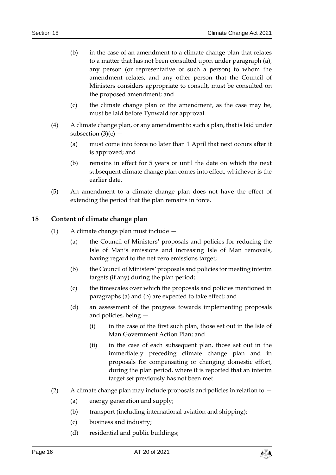- (b) in the case of an amendment to a climate change plan that relates to a matter that has not been consulted upon under paragraph (a), any person (or representative of such a person) to whom the amendment relates, and any other person that the Council of Ministers considers appropriate to consult, must be consulted on the proposed amendment; and
- (c) the climate change plan or the amendment, as the case may be, must be laid before Tynwald for approval.
- (4) A climate change plan, or any amendment to such a plan, that is laid under subsection  $(3)(c)$  –
	- (a) must come into force no later than 1 April that next occurs after it is approved; and
	- (b) remains in effect for 5 years or until the date on which the next subsequent climate change plan comes into effect, whichever is the earlier date.
- (5) An amendment to a climate change plan does not have the effect of extending the period that the plan remains in force.

### <span id="page-15-0"></span>**18 Content of climate change plan**

- (1) A climate change plan must include
	- (a) the Council of Ministers' proposals and policies for reducing the Isle of Man's emissions and increasing Isle of Man removals, having regard to the net zero emissions target;
	- (b) the Council of Ministers' proposals and policies for meeting interim targets (if any) during the plan period;
	- (c) the timescales over which the proposals and policies mentioned in paragraphs (a) and (b) are expected to take effect; and
	- (d) an assessment of the progress towards implementing proposals and policies, being —
		- (i) in the case of the first such plan, those set out in the Isle of Man Government Action Plan; and
		- (ii) in the case of each subsequent plan, those set out in the immediately preceding climate change plan and in proposals for compensating or changing domestic effort, during the plan period, where it is reported that an interim target set previously has not been met.
- (2) A climate change plan may include proposals and policies in relation to
	- (a) energy generation and supply;
	- (b) transport (including international aviation and shipping);
	- (c) business and industry;
	- (d) residential and public buildings;

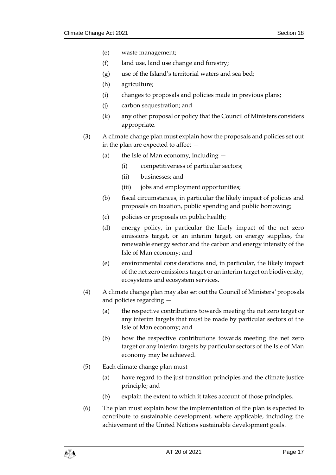- (e) waste management;
- (f) land use, land use change and forestry;
- (g) use of the Island's territorial waters and sea bed;
- (h) agriculture;
- (i) changes to proposals and policies made in previous plans;
- (j) carbon sequestration; and
- (k) any other proposal or policy that the Council of Ministers considers appropriate.
- (3) A climate change plan must explain how the proposals and policies set out in the plan are expected to affect —
	- (a) the Isle of Man economy, including
		- (i) competitiveness of particular sectors;
		- (ii) businesses; and
		- (iii) jobs and employment opportunities;
	- (b) fiscal circumstances, in particular the likely impact of policies and proposals on taxation, public spending and public borrowing;
	- (c) policies or proposals on public health;
	- (d) energy policy, in particular the likely impact of the net zero emissions target, or an interim target, on energy supplies, the renewable energy sector and the carbon and energy intensity of the Isle of Man economy; and
	- (e) environmental considerations and, in particular, the likely impact of the net zero emissions target or an interim target on biodiversity, ecosystems and ecosystem services.
- (4) A climate change plan may also set out the Council of Ministers' proposals and policies regarding —
	- (a) the respective contributions towards meeting the net zero target or any interim targets that must be made by particular sectors of the Isle of Man economy; and
	- (b) how the respective contributions towards meeting the net zero target or any interim targets by particular sectors of the Isle of Man economy may be achieved.
- (5) Each climate change plan must
	- (a) have regard to the just transition principles and the climate justice principle; and
	- (b) explain the extent to which it takes account of those principles.
- (6) The plan must explain how the implementation of the plan is expected to contribute to sustainable development, where applicable, including the achievement of the United Nations sustainable development goals.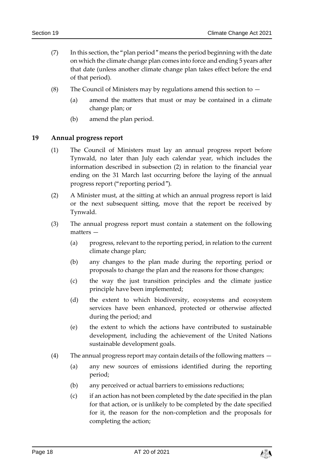- (7) In this section, the "plan period" means the period beginning with the date on which the climate change plan comes into force and ending 5 years after that date (unless another climate change plan takes effect before the end of that period).
- (8) The Council of Ministers may by regulations amend this section to  $-$ 
	- (a) amend the matters that must or may be contained in a climate change plan; or
	- (b) amend the plan period.

### <span id="page-17-0"></span>**19 Annual progress report**

- (1) The Council of Ministers must lay an annual progress report before Tynwald, no later than July each calendar year, which includes the information described in subsection (2) in relation to the financial year ending on the 31 March last occurring before the laying of the annual progress report ("reporting period").
- (2) A Minister must, at the sitting at which an annual progress report is laid or the next subsequent sitting, move that the report be received by Tynwald.
- (3) The annual progress report must contain a statement on the following matters —
	- (a) progress, relevant to the reporting period, in relation to the current climate change plan;
	- (b) any changes to the plan made during the reporting period or proposals to change the plan and the reasons for those changes;
	- (c) the way the just transition principles and the climate justice principle have been implemented;
	- (d) the extent to which biodiversity, ecosystems and ecosystem services have been enhanced, protected or otherwise affected during the period; and
	- (e) the extent to which the actions have contributed to sustainable development, including the achievement of the United Nations sustainable development goals.
- (4) The annual progress report may contain details of the following matters
	- (a) any new sources of emissions identified during the reporting period;
	- (b) any perceived or actual barriers to emissions reductions;
	- (c) if an action has not been completed by the date specified in the plan for that action, or is unlikely to be completed by the date specified for it, the reason for the non-completion and the proposals for completing the action;

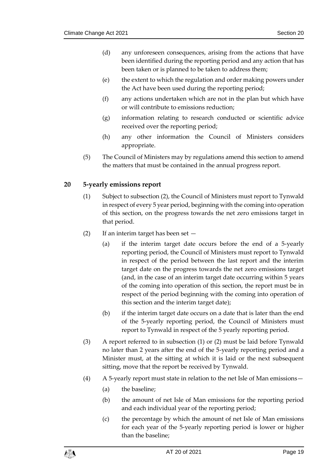- (d) any unforeseen consequences, arising from the actions that have been identified during the reporting period and any action that has been taken or is planned to be taken to address them;
- (e) the extent to which the regulation and order making powers under the Act have been used during the reporting period;
- (f) any actions undertaken which are not in the plan but which have or will contribute to emissions reduction;
- (g) information relating to research conducted or scientific advice received over the reporting period;
- (h) any other information the Council of Ministers considers appropriate.
- (5) The Council of Ministers may by regulations amend this section to amend the matters that must be contained in the annual progress report.

# <span id="page-18-0"></span>**20 5-yearly emissions report**

- (1) Subject to subsection (2), the Council of Ministers must report to Tynwald in respect of every 5 year period, beginning with the coming into operation of this section, on the progress towards the net zero emissions target in that period.
- (2) If an interim target has been set
	- (a) if the interim target date occurs before the end of a 5-yearly reporting period, the Council of Ministers must report to Tynwald in respect of the period between the last report and the interim target date on the progress towards the net zero emissions target (and, in the case of an interim target date occurring within 5 years of the coming into operation of this section, the report must be in respect of the period beginning with the coming into operation of this section and the interim target date);
	- (b) if the interim target date occurs on a date that is later than the end of the 5-yearly reporting period, the Council of Ministers must report to Tynwald in respect of the 5 yearly reporting period.
- (3) A report referred to in subsection (1) or (2) must be laid before Tynwald no later than 2 years after the end of the 5-yearly reporting period and a Minister must, at the sitting at which it is laid or the next subsequent sitting, move that the report be received by Tynwald.
- (4) A 5-yearly report must state in relation to the net Isle of Man emissions—
	- (a) the baseline;
	- (b) the amount of net Isle of Man emissions for the reporting period and each individual year of the reporting period;
	- (c) the percentage by which the amount of net Isle of Man emissions for each year of the 5-yearly reporting period is lower or higher than the baseline;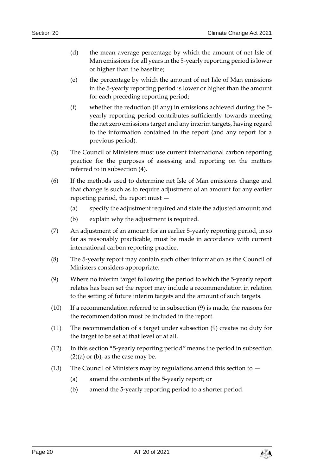- (d) the mean average percentage by which the amount of net Isle of Man emissions for all years in the 5-yearly reporting period is lower or higher than the baseline;
- (e) the percentage by which the amount of net Isle of Man emissions in the 5-yearly reporting period is lower or higher than the amount for each preceding reporting period;
- (f) whether the reduction (if any) in emissions achieved during the 5 yearly reporting period contributes sufficiently towards meeting the net zero emissions target and any interim targets, having regard to the information contained in the report (and any report for a previous period).
- (5) The Council of Ministers must use current international carbon reporting practice for the purposes of assessing and reporting on the matters referred to in subsection (4).
- (6) If the methods used to determine net Isle of Man emissions change and that change is such as to require adjustment of an amount for any earlier reporting period, the report must —
	- (a) specify the adjustment required and state the adjusted amount; and
	- (b) explain why the adjustment is required.
- (7) An adjustment of an amount for an earlier 5-yearly reporting period, in so far as reasonably practicable, must be made in accordance with current international carbon reporting practice.
- (8) The 5-yearly report may contain such other information as the Council of Ministers considers appropriate.
- (9) Where no interim target following the period to which the 5-yearly report relates has been set the report may include a recommendation in relation to the setting of future interim targets and the amount of such targets.
- (10) If a recommendation referred to in subsection (9) is made, the reasons for the recommendation must be included in the report.
- (11) The recommendation of a target under subsection (9) creates no duty for the target to be set at that level or at all.
- (12) In this section "5-yearly reporting period" means the period in subsection  $(2)(a)$  or  $(b)$ , as the case may be.
- (13) The Council of Ministers may by regulations amend this section to  $-$ 
	- (a) amend the contents of the 5-yearly report; or
	- (b) amend the 5-yearly reporting period to a shorter period.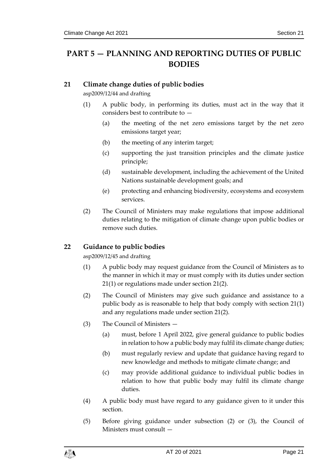# <span id="page-20-0"></span>**PART 5 — PLANNING AND REPORTING DUTIES OF PUBLIC BODIES**

### <span id="page-20-3"></span><span id="page-20-1"></span>**21 Climate change duties of public bodies**

asp2009/12/44 and drafting

- (1) A public body, in performing its duties, must act in the way that it considers best to contribute to —
	- (a) the meeting of the net zero emissions target by the net zero emissions target year;
	- (b) the meeting of any interim target;
	- (c) supporting the just transition principles and the climate justice principle;
	- (d) sustainable development, including the achievement of the United Nations sustainable development goals; and
	- (e) protecting and enhancing biodiversity, ecosystems and ecosystem services.
- <span id="page-20-4"></span>(2) The Council of Ministers may make regulations that impose additional duties relating to the mitigation of climate change upon public bodies or remove such duties.

# <span id="page-20-2"></span>**22 Guidance to public bodies**

asp2009/12/45 and drafting

- (1) A public body may request guidance from the Council of Ministers as to the manner in which it may or must comply with its duties under section [21\(1\)](#page-20-3) or regulations made under section [21\(2\).](#page-20-4)
- (2) The Council of Ministers may give such guidance and assistance to a public body as is reasonable to help that body comply with section [21\(1\)](#page-20-3) and any regulations made under section [21\(2\).](#page-20-4)
- (3) The Council of Ministers
	- (a) must, before 1 April 2022, give general guidance to public bodies in relation to how a public body may fulfil its climate change duties;
	- (b) must regularly review and update that guidance having regard to new knowledge and methods to mitigate climate change; and
	- (c) may provide additional guidance to individual public bodies in relation to how that public body may fulfil its climate change duties.
- (4) A public body must have regard to any guidance given to it under this section.
- (5) Before giving guidance under subsection (2) or (3), the Council of Ministers must consult —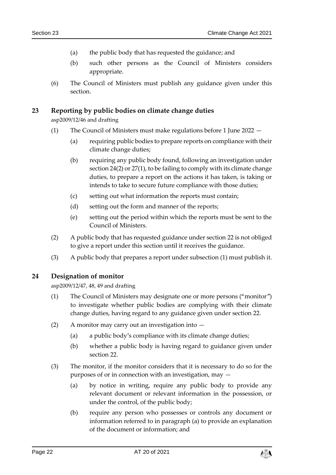- (a) the public body that has requested the guidance; and
- (b) such other persons as the Council of Ministers considers appropriate.
- (6) The Council of Ministers must publish any guidance given under this section.

### <span id="page-21-0"></span>**23 Reporting by public bodies on climate change duties**

asp2009/12/46 and drafting

- (1) The Council of Ministers must make regulations before 1 June 2022
	- (a) requiring public bodies to prepare reports on compliance with their climate change duties;
	- (b) requiring any public body found, following an investigation under section [24\(2\)](#page-21-2) or [27\(1\),](#page-23-3) to be failing to comply with its climate change duties, to prepare a report on the actions it has taken, is taking or intends to take to secure future compliance with those duties;
	- (c) setting out what information the reports must contain;
	- (d) setting out the form and manner of the reports;
	- (e) setting out the period within which the reports must be sent to the Council of Ministers.
- (2) A public body that has requested guidance under section [22](#page-20-2) is not obliged to give a report under this section until it receives the guidance.
- (3) A public body that prepares a report under subsection (1) must publish it.

### <span id="page-21-3"></span><span id="page-21-1"></span>**24 Designation of monitor**

asp2009/12/47, 48, 49 and drafting

- (1) The Council of Ministers may designate one or more persons ("monitor") to investigate whether public bodies are complying with their climate change duties, having regard to any guidance given under section [22.](#page-20-2)
- <span id="page-21-2"></span>(2) A monitor may carry out an investigation into —
	- (a) a public body's compliance with its climate change duties;
	- (b) whether a public body is having regard to guidance given under section [22.](#page-20-2)
- (3) The monitor, if the monitor considers that it is necessary to do so for the purposes of or in connection with an investigation, may —
	- (a) by notice in writing, require any public body to provide any relevant document or relevant information in the possession, or under the control, of the public body;
	- (b) require any person who possesses or controls any document or information referred to in paragraph (a) to provide an explanation of the document or information; and

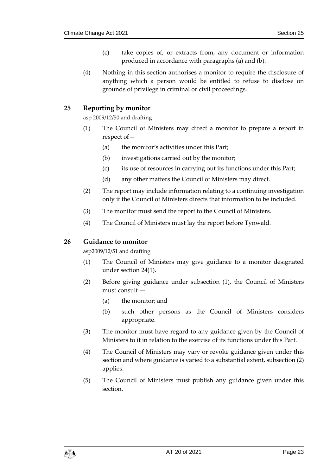- (c) take copies of, or extracts from, any document or information produced in accordance with paragraphs (a) and (b).
- (4) Nothing in this section authorises a monitor to require the disclosure of anything which a person would be entitled to refuse to disclose on grounds of privilege in criminal or civil proceedings.

# <span id="page-22-0"></span>**25 Reporting by monitor**

asp 2009/12/50 and drafting

- (1) The Council of Ministers may direct a monitor to prepare a report in respect of—
	- (a) the monitor's activities under this Part;
	- (b) investigations carried out by the monitor;
	- (c) its use of resources in carrying out its functions under this Part;
	- (d) any other matters the Council of Ministers may direct.
- (2) The report may include information relating to a continuing investigation only if the Council of Ministers directs that information to be included.
- (3) The monitor must send the report to the Council of Ministers.
- (4) The Council of Ministers must lay the report before Tynwald.

### <span id="page-22-1"></span>**26 Guidance to monitor**

asp2009/12/51 and drafting

- (1) The Council of Ministers may give guidance to a monitor designated under section [24\(1\).](#page-21-3)
- (2) Before giving guidance under subsection (1), the Council of Ministers must consult —
	- (a) the monitor; and
	- (b) such other persons as the Council of Ministers considers appropriate.
- (3) The monitor must have regard to any guidance given by the Council of Ministers to it in relation to the exercise of its functions under this Part.
- (4) The Council of Ministers may vary or revoke guidance given under this section and where guidance is varied to a substantial extent, subsection (2) applies.
- (5) The Council of Ministers must publish any guidance given under this section.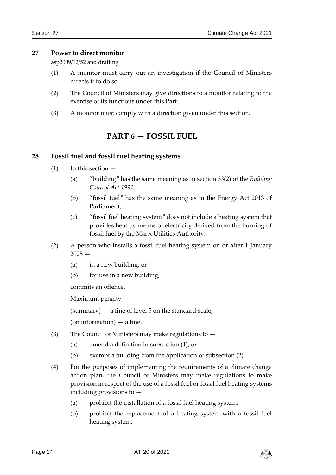### <span id="page-23-3"></span><span id="page-23-0"></span>**27 Power to direct monitor**

asp2009/12/52 and drafting

- (1) A monitor must carry out an investigation if the Council of Ministers directs it to do so.
- (2) The Council of Ministers may give directions to a monitor relating to the exercise of its functions under this Part.
- <span id="page-23-1"></span>(3) A monitor must comply with a direction given under this section.

# **PART 6 — FOSSIL FUEL**

### <span id="page-23-2"></span>**28 Fossil fuel and fossil fuel heating systems**

- $(1)$  In this section  $-$ 
	- (a) "building" has the same meaning as in section 33(2) of the *Building Control Act 1991*;
	- (b) "fossil fuel" has the same meaning as in the Energy Act 2013 of Parliament;
	- (c) "fossil fuel heating system" does not include a heating system that provides heat by means of electricity derived from the burning of fossil fuel by the Manx Utilities Authority.
- (2) A person who installs a fossil fuel heating system on or after 1 January  $2025 -$ 
	- (a) in a new building; or
	- (b) for use in a new building,

commits an offence.

Maximum penalty —

 $(summary)$  — a fine of level 5 on the standard scale;

(on information)  $-$  a fine.

- (3) The Council of Ministers may make regulations to  $-$ 
	- (a) amend a definition in subsection (1); or
	- (b) exempt a building from the application of subsection (2).
- (4) For the purposes of implementing the requirements of a climate change action plan, the Council of Ministers may make regulations to make provision in respect of the use of a fossil fuel or fossil fuel heating systems including provisions to —
	- (a) prohibit the installation of a fossil fuel heating system;
	- (b) prohibit the replacement of a heating system with a fossil fuel heating system;

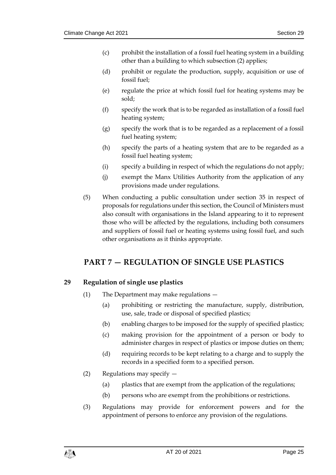- (c) prohibit the installation of a fossil fuel heating system in a building other than a building to which subsection (2) applies;
- (d) prohibit or regulate the production, supply, acquisition or use of fossil fuel;
- (e) regulate the price at which fossil fuel for heating systems may be sold;
- (f) specify the work that is to be regarded as installation of a fossil fuel heating system;
- (g) specify the work that is to be regarded as a replacement of a fossil fuel heating system;
- (h) specify the parts of a heating system that are to be regarded as a fossil fuel heating system;
- (i) specify a building in respect of which the regulations do not apply;
- (j) exempt the Manx Utilities Authority from the application of any provisions made under regulations.
- (5) When conducting a public consultation under section [35](#page-30-2) in respect of proposals for regulations under this section, the Council of Ministers must also consult with organisations in the Island appearing to it to represent those who will be affected by the regulations, including both consumers and suppliers of fossil fuel or heating systems using fossil fuel, and such other organisations as it thinks appropriate.

# <span id="page-24-0"></span>**PART 7 — REGULATION OF SINGLE USE PLASTICS**

# <span id="page-24-1"></span>**29 Regulation of single use plastics**

- (1) The Department may make regulations
	- (a) prohibiting or restricting the manufacture, supply, distribution, use, sale, trade or disposal of specified plastics;
	- (b) enabling charges to be imposed for the supply of specified plastics;
	- (c) making provision for the appointment of a person or body to administer charges in respect of plastics or impose duties on them;
	- (d) requiring records to be kept relating to a charge and to supply the records in a specified form to a specified person.
- (2) Regulations may specify
	- (a) plastics that are exempt from the application of the regulations;
	- (b) persons who are exempt from the prohibitions or restrictions.
- (3) Regulations may provide for enforcement powers and for the appointment of persons to enforce any provision of the regulations.

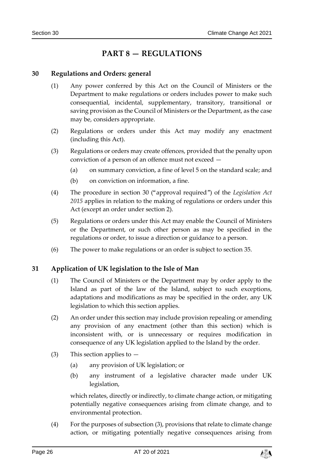# **PART 8 — REGULATIONS**

### <span id="page-25-3"></span><span id="page-25-1"></span><span id="page-25-0"></span>**30 Regulations and Orders: general**

- (1) Any power conferred by this Act on the Council of Ministers or the Department to make regulations or orders includes power to make such consequential, incidental, supplementary, transitory, transitional or saving provision as the Council of Ministers or the Department, as the case may be, considers appropriate.
- (2) Regulations or orders under this Act may modify any enactment (including this Act).
- (3) Regulations or orders may create offences, provided that the penalty upon conviction of a person of an offence must not exceed —
	- (a) on summary conviction, a fine of level 5 on the standard scale; and
	- (b) on conviction on information, a fine.
- (4) The procedure in section 30 ("approval required") of the *Legislation Act 2015* applies in relation to the making of regulations or orders under this Act (except an order under section 2).
- (5) Regulations or orders under this Act may enable the Council of Ministers or the Department, or such other person as may be specified in the regulations or order, to issue a direction or guidance to a person.
- (6) The power to make regulations or an order is subject to section [35.](#page-30-2)

### <span id="page-25-2"></span>**31 Application of UK legislation to the Isle of Man**

- (1) The Council of Ministers or the Department may by order apply to the Island as part of the law of the Island, subject to such exceptions, adaptations and modifications as may be specified in the order, any UK legislation to which this section applies.
- (2) An order under this section may include provision repealing or amending any provision of any enactment (other than this section) which is inconsistent with, or is unnecessary or requires modification in consequence of any UK legislation applied to the Island by the order.
- (3) This section applies to  $-$ 
	- (a) any provision of UK legislation; or
	- (b) any instrument of a legislative character made under UK legislation,

which relates, directly or indirectly, to climate change action, or mitigating potentially negative consequences arising from climate change, and to environmental protection.

(4) For the purposes of subsection (3), provisions that relate to climate change action, or mitigating potentially negative consequences arising from

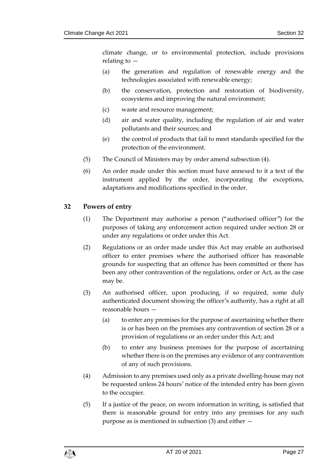climate change, or to environmental protection, include provisions relating to —

- (a) the generation and regulation of renewable energy and the technologies associated with renewable energy;
- (b) the conservation, protection and restoration of biodiversity, ecosystems and improving the natural environment;
- (c) waste and resource management;
- (d) air and water quality, including the regulation of air and water pollutants and their sources; and
- (e) the control of products that fail to meet standards specified for the protection of the environment.
- (5) The Council of Ministers may by order amend subsection (4).
- (6) An order made under this section must have annexed to it a text of the instrument applied by the order, incorporating the exceptions, adaptations and modifications specified in the order.

### <span id="page-26-0"></span>**32 Powers of entry**

- (1) The Department may authorise a person ("authorised officer") for the purposes of taking any enforcement action required under section [28](#page-23-2) or under any regulations or order under this Act.
- (2) Regulations or an order made under this Act may enable an authorised officer to enter premises where the authorised officer has reasonable grounds for suspecting that an offence has been committed or there has been any other contravention of the regulations, order or Act, as the case may be.
- (3) An authorised officer, upon producing, if so required, some duly authenticated document showing the officer's authority, has a right at all reasonable hours —
	- (a) to enter any premises for the purpose of ascertaining whether there is or has been on the premises any contravention of section [28](#page-23-2) or a provision of regulations or an order under this Act; and
	- (b) to enter any business premises for the purpose of ascertaining whether there is on the premises any evidence of any contravention of any of such provisions.
- (4) Admission to any premises used only as a private dwelling-house may not be requested unless 24 hours' notice of the intended entry has been given to the occupier.
- (5) If a justice of the peace, on sworn information in writing, is satisfied that there is reasonable ground for entry into any premises for any such purpose as is mentioned in subsection (3) and either —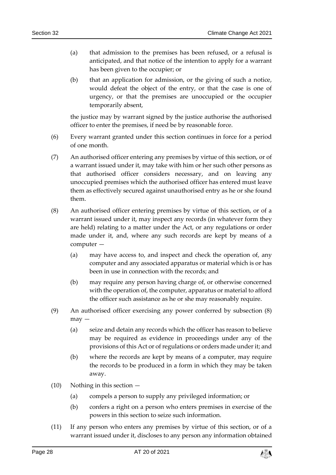- (a) that admission to the premises has been refused, or a refusal is anticipated, and that notice of the intention to apply for a warrant has been given to the occupier; or
- (b) that an application for admission, or the giving of such a notice, would defeat the object of the entry, or that the case is one of urgency, or that the premises are unoccupied or the occupier temporarily absent,

the justice may by warrant signed by the justice authorise the authorised officer to enter the premises, if need be by reasonable force.

- (6) Every warrant granted under this section continues in force for a period of one month.
- (7) An authorised officer entering any premises by virtue of this section, or of a warrant issued under it, may take with him or her such other persons as that authorised officer considers necessary, and on leaving any unoccupied premises which the authorised officer has entered must leave them as effectively secured against unauthorised entry as he or she found them.
- (8) An authorised officer entering premises by virtue of this section, or of a warrant issued under it, may inspect any records (in whatever form they are held) relating to a matter under the Act, or any regulations or order made under it, and, where any such records are kept by means of a computer —
	- (a) may have access to, and inspect and check the operation of, any computer and any associated apparatus or material which is or has been in use in connection with the records; and
	- (b) may require any person having charge of, or otherwise concerned with the operation of, the computer, apparatus or material to afford the officer such assistance as he or she may reasonably require.
- (9) An authorised officer exercising any power conferred by subsection (8) may —
	- (a) seize and detain any records which the officer has reason to believe may be required as evidence in proceedings under any of the provisions of this Act or of regulations or orders made under it; and
	- (b) where the records are kept by means of a computer, may require the records to be produced in a form in which they may be taken away.
- (10) Nothing in this section
	- (a) compels a person to supply any privileged information; or
	- (b) confers a right on a person who enters premises in exercise of the powers in this section to seize such information.
- (11) If any person who enters any premises by virtue of this section, or of a warrant issued under it, discloses to any person any information obtained

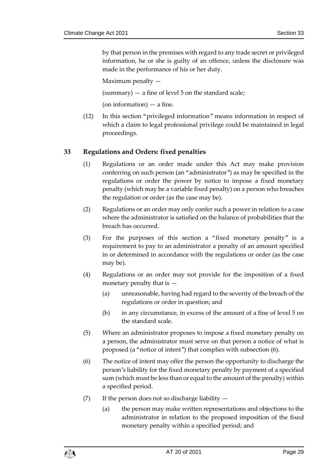by that person in the premises with regard to any trade secret or privileged information, he or she is guilty of an offence, unless the disclosure was made in the performance of his or her duty.

Maximum penalty —

 $(summary)$  — a fine of level 5 on the standard scale;

(on information) — a fine.

(12) In this section "privileged information" means information in respect of which a claim to legal professional privilege could be maintained in legal proceedings.

### <span id="page-28-0"></span>**33 Regulations and Orders: fixed penalties**

- (1) Regulations or an order made under this Act may make provision conferring on such person (an "administrator") as may be specified in the regulations or order the power by notice to impose a fixed monetary penalty (which may be a variable fixed penalty) on a person who breaches the regulation or order (as the case may be).
- (2) Regulations or an order may only confer such a power in relation to a case where the administrator is satisfied on the balance of probabilities that the breach has occurred.
- (3) For the purposes of this section a "fixed monetary penalty" is a requirement to pay to an administrator a penalty of an amount specified in or determined in accordance with the regulations or order (as the case may be).
- (4) Regulations or an order may not provide for the imposition of a fixed monetary penalty that is —
	- (a) unreasonable, having had regard to the severity of the breach of the regulations or order in question; and
	- (b) in any circumstance, in excess of the amount of a fine of level 5 on the standard scale.
- (5) Where an administrator proposes to impose a fixed monetary penalty on a person, the administrator must serve on that person a notice of what is proposed (a "notice of intent") that complies with subsection (6).
- (6) The notice of intent may offer the person the opportunity to discharge the person's liability for the fixed monetary penalty by payment of a specified sum (which must be less than or equal to the amount of the penalty) within a specified period.
- (7) If the person does not so discharge liability  $-$ 
	- (a) the person may make written representations and objections to the administrator in relation to the proposed imposition of the fixed monetary penalty within a specified period; and

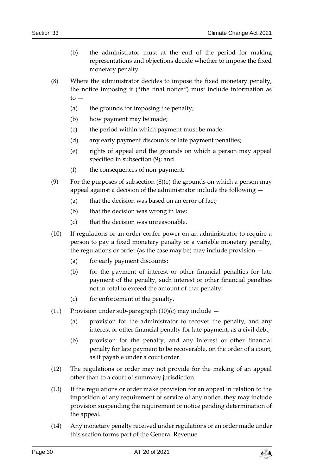- (b) the administrator must at the end of the period for making representations and objections decide whether to impose the fixed monetary penalty.
- (8) Where the administrator decides to impose the fixed monetary penalty, the notice imposing it ("the final notice") must include information as  $to -$ 
	- (a) the grounds for imposing the penalty;
	- (b) how payment may be made;
	- (c) the period within which payment must be made;
	- (d) any early payment discounts or late payment penalties;
	- (e) rights of appeal and the grounds on which a person may appeal specified in subsection (9); and
	- (f) the consequences of non-payment.
- (9) For the purposes of subsection  $(8)(e)$  the grounds on which a person may appeal against a decision of the administrator include the following —
	- (a) that the decision was based on an error of fact;
	- (b) that the decision was wrong in law;
	- (c) that the decision was unreasonable.
- (10) If regulations or an order confer power on an administrator to require a person to pay a fixed monetary penalty or a variable monetary penalty, the regulations or order (as the case may be) may include provision —
	- (a) for early payment discounts;
	- (b) for the payment of interest or other financial penalties for late payment of the penalty, such interest or other financial penalties not in total to exceed the amount of that penalty;
	- (c) for enforcement of the penalty.
- (11) Provision under sub-paragraph  $(10)(c)$  may include  $-$ 
	- (a) provision for the administrator to recover the penalty, and any interest or other financial penalty for late payment, as a civil debt;
	- (b) provision for the penalty, and any interest or other financial penalty for late payment to be recoverable, on the order of a court, as if payable under a court order.
- (12) The regulations or order may not provide for the making of an appeal other than to a court of summary jurisdiction.
- (13) If the regulations or order make provision for an appeal in relation to the imposition of any requirement or service of any notice, they may include provision suspending the requirement or notice pending determination of the appeal.
- (14) Any monetary penalty received under regulations or an order made under this section forms part of the General Revenue.

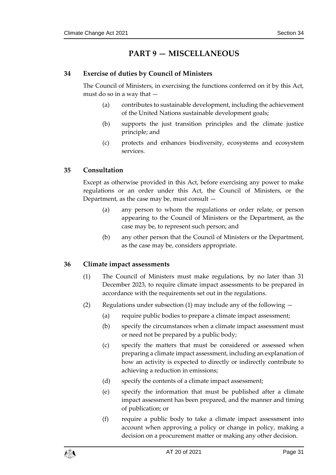# **PART 9 — MISCELLANEOUS**

# <span id="page-30-1"></span><span id="page-30-0"></span>**34 Exercise of duties by Council of Ministers**

The Council of Ministers, in exercising the functions conferred on it by this Act, must do so in a way that —

- (a) contributes to sustainable development, including the achievement of the United Nations sustainable development goals;
- (b) supports the just transition principles and the climate justice principle; and
- (c) protects and enhances biodiversity, ecosystems and ecosystem services.

# <span id="page-30-2"></span>**35 Consultation**

Except as otherwise provided in this Act, before exercising any power to make regulations or an order under this Act, the Council of Ministers, or the Department, as the case may be, must consult —

- (a) any person to whom the regulations or order relate, or person appearing to the Council of Ministers or the Department, as the case may be, to represent such person; and
- (b) any other person that the Council of Ministers or the Department, as the case may be, considers appropriate.

# <span id="page-30-3"></span>**36 Climate impact assessments**

- (1) The Council of Ministers must make regulations, by no later than 31 December 2023, to require climate impact assessments to be prepared in accordance with the requirements set out in the regulations.
- (2) Regulations under subsection (1) may include any of the following
	- (a) require public bodies to prepare a climate impact assessment;
	- (b) specify the circumstances when a climate impact assessment must or need not be prepared by a public body;
	- (c) specify the matters that must be considered or assessed when preparing a climate impact assessment, including an explanation of how an activity is expected to directly or indirectly contribute to achieving a reduction in emissions;
	- (d) specify the contents of a climate impact assessment;
	- (e) specify the information that must be published after a climate impact assessment has been prepared, and the manner and timing of publication; or
	- (f) require a public body to take a climate impact assessment into account when approving a policy or change in policy, making a decision on a procurement matter or making any other decision.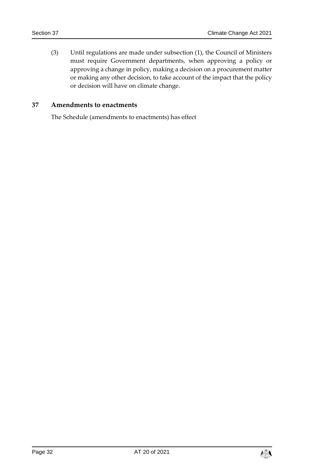(3) Until regulations are made under subsection (1), the Council of Ministers must require Government departments, when approving a policy or approving a change in policy, making a decision on a procurement matter or making any other decision, to take account of the impact that the policy or decision will have on climate change.

#### <span id="page-31-0"></span>**37 Amendments to enactments**

The Schedule (amendments to enactments) has effect

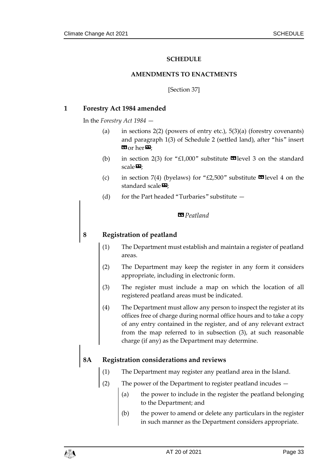### **SCHEDULE**

#### **AMENDMENTS TO ENACTMENTS**

[Section [37\]](#page-31-0)

#### <span id="page-32-1"></span><span id="page-32-0"></span>**1 Forestry Act 1984 amended**

In the *Forestry Act 1984* —

- (a) in sections  $2(2)$  (powers of entry etc.),  $5(3)(a)$  (forestry covenants) and paragraph 1(3) of Schedule 2 (settled land), after "his" insert **EG** or her  $\mathbf{E}$ ;
- (b) in section 2(3) for "£1,000" substitute  $\blacksquare$  level 3 on the standard scale $\mathbf{E}$ ;
- (c) in section 7(4) (byelaws) for "£2,500" substitute  $\blacksquare$  level 4 on the standard scale $\boldsymbol{\mathsf{\Xi}}$ ;
- (d) for the Part headed "Turbaries" substitute —

#### *«Peatland*

### **8 Registration of peatland**

- (1) The Department must establish and maintain a register of peatland areas.
- (2) The Department may keep the register in any form it considers appropriate, including in electronic form.
- (3) The register must include a map on which the location of all registered peatland areas must be indicated.
- (4) The Department must allow any person to inspect the register at its offices free of charge during normal office hours and to take a copy of any entry contained in the register, and of any relevant extract from the map referred to in subsection (3), at such reasonable charge (if any) as the Department may determine.

### **8A Registration considerations and reviews**

- (1) The Department may register any peatland area in the Island.
- (2) The power of the Department to register peatland incudes
	- (a) the power to include in the register the peatland belonging to the Department; and
	- (b) the power to amend or delete any particulars in the register in such manner as the Department considers appropriate.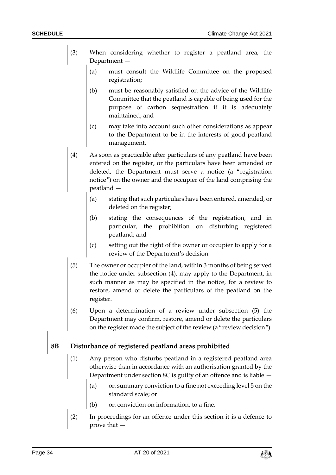- (3) When considering whether to register a peatland area, the Department —
	- (a) must consult the Wildlife Committee on the proposed registration;
	- (b) must be reasonably satisfied on the advice of the Wildlife Committee that the peatland is capable of being used for the purpose of carbon sequestration if it is adequately maintained; and
	- (c) may take into account such other considerations as appear to the Department to be in the interests of good peatland management.
- (4) As soon as practicable after particulars of any peatland have been entered on the register, or the particulars have been amended or deleted, the Department must serve a notice (a "registration notice") on the owner and the occupier of the land comprising the peatland —
	- (a) stating that such particulars have been entered, amended, or deleted on the register;
	- (b) stating the consequences of the registration, and in particular, the prohibition on disturbing registered peatland; and
	- (c) setting out the right of the owner or occupier to apply for a review of the Department's decision.
- (5) The owner or occupier of the land, within 3 months of being served the notice under subsection (4), may apply to the Department, in such manner as may be specified in the notice, for a review to restore, amend or delete the particulars of the peatland on the register.
- (6) Upon a determination of a review under subsection (5) the Department may confirm, restore, amend or delete the particulars on the register made the subject of the review (a "review decision").

# **8B Disturbance of registered peatland areas prohibited**

- (1) Any person who disturbs peatland in a registered peatland area otherwise than in accordance with an authorisation granted by the Department under section 8C is guilty of an offence and is liable —
	- (a) on summary conviction to a fine not exceeding level 5 on the standard scale; or
	- (b) on conviction on information, to a fine.
- (2) In proceedings for an offence under this section it is a defence to prove that —

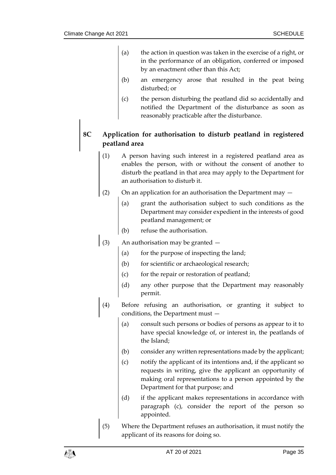- (a) the action in question was taken in the exercise of a right, or in the performance of an obligation, conferred or imposed by an enactment other than this Act;
- (b) an emergency arose that resulted in the peat being disturbed; or
- (c) the person disturbing the peatland did so accidentally and notified the Department of the disturbance as soon as reasonably practicable after the disturbance.

# **8C Application for authorisation to disturb peatland in registered peatland area**

- (1) A person having such interest in a registered peatland area as enables the person, with or without the consent of another to disturb the peatland in that area may apply to the Department for an authorisation to disturb it.
- (2) On an application for an authorisation the Department may  $-$ 
	- (a) grant the authorisation subject to such conditions as the Department may consider expedient in the interests of good peatland management; or
	- (b) refuse the authorisation.
- (3) An authorisation may be granted  $-$ 
	- (a) for the purpose of inspecting the land;
	- (b) for scientific or archaeological research;
	- (c) for the repair or restoration of peatland;
	- (d) any other purpose that the Department may reasonably permit.
- (4) Before refusing an authorisation, or granting it subject to conditions, the Department must —
	- (a) consult such persons or bodies of persons as appear to it to have special knowledge of, or interest in, the peatlands of the Island;
	- (b) consider any written representations made by the applicant;
	- (c) notify the applicant of its intentions and, if the applicant so requests in writing, give the applicant an opportunity of making oral representations to a person appointed by the Department for that purpose; and
	- (d) if the applicant makes representations in accordance with paragraph (c), consider the report of the person so appointed.
- (5) Where the Department refuses an authorisation, it must notify the applicant of its reasons for doing so.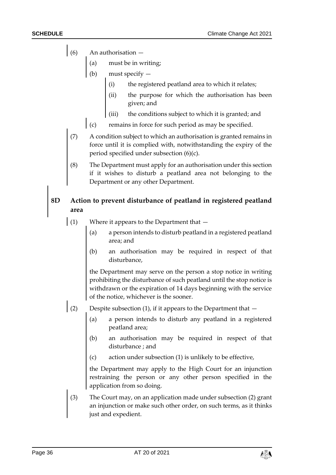- $(6)$  An authorisation  $-$ 
	- (a) must be in writing;
	- (b) must specify
		- (i) the registered peatland area to which it relates;
		- (ii) the purpose for which the authorisation has been given; and
		- (iii) the conditions subject to which it is granted; and
	- (c) remains in force for such period as may be specified.
- (7) A condition subject to which an authorisation is granted remains in force until it is complied with, notwithstanding the expiry of the period specified under subsection (6)(c).
- The Department must apply for an authorisation under this section if it wishes to disturb a peatland area not belonging to the Department or any other Department.

# **8D Action to prevent disturbance of peatland in registered peatland area**

- (1) Where it appears to the Department that
	- (a) a person intends to disturb peatland in a registered peatland area; and
	- (b) an authorisation may be required in respect of that disturbance,

the Department may serve on the person a stop notice in writing prohibiting the disturbance of such peatland until the stop notice is withdrawn or the expiration of 14 days beginning with the service of the notice, whichever is the sooner.

- (2) Despite subsection (1), if it appears to the Department that
	- (a) a person intends to disturb any peatland in a registered peatland area;
	- (b) an authorisation may be required in respect of that disturbance ; and
	- (c) action under subsection (1) is unlikely to be effective,

the Department may apply to the High Court for an injunction restraining the person or any other person specified in the application from so doing.

(3) The Court may, on an application made under subsection (2) grant an injunction or make such other order, on such terms, as it thinks just and expedient.

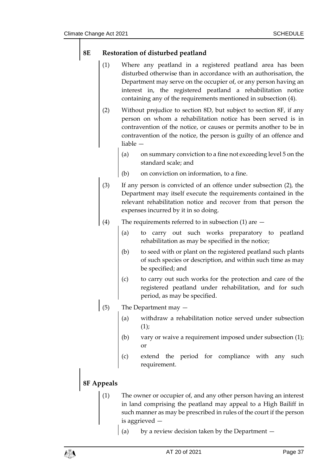# **8E Restoration of disturbed peatland**

- (1) Where any peatland in a registered peatland area has been disturbed otherwise than in accordance with an authorisation, the Department may serve on the occupier of, or any person having an interest in, the registered peatland a rehabilitation notice containing any of the requirements mentioned in subsection (4).
- (2) Without prejudice to section 8D, but subject to section 8F, if any person on whom a rehabilitation notice has been served is in contravention of the notice, or causes or permits another to be in contravention of the notice, the person is guilty of an offence and liable —
	- (a) on summary conviction to a fine not exceeding level 5 on the standard scale; and
	- (b) on conviction on information, to a fine.
- (3) If any person is convicted of an offence under subsection (2), the Department may itself execute the requirements contained in the relevant rehabilitation notice and recover from that person the expenses incurred by it in so doing.
- (4) The requirements referred to in subsection (1) are
	- (a) to carry out such works preparatory to peatland rehabilitation as may be specified in the notice;
	- (b) to seed with or plant on the registered peatland such plants of such species or description, and within such time as may be specified; and
	- (c) to carry out such works for the protection and care of the registered peatland under rehabilitation, and for such period, as may be specified.
- (5) The Department may  $-$ 
	- (a) withdraw a rehabilitation notice served under subsection  $(1)$ ;
	- (b) vary or waive a requirement imposed under subsection (1); or
	- (c) extend the period for compliance with any such requirement.

# **8F Appeals**

- (1) The owner or occupier of, and any other person having an interest in land comprising the peatland may appeal to a High Bailiff in such manner as may be prescribed in rules of the court if the person is aggrieved —
	- (a) by a review decision taken by the Department —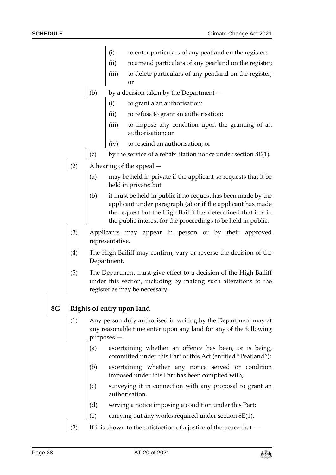- (i) to enter particulars of any peatland on the register;
- (ii) to amend particulars of any peatland on the register;
- (iii) to delete particulars of any peatland on the register; or
- (b) by a decision taken by the Department  $$ 
	- to grant a an authorisation;
	- (ii) to refuse to grant an authorisation;
	- to impose any condition upon the granting of an authorisation; or
	- (iv) to rescind an authorisation; or
- (c) by the service of a rehabilitation notice under section 8E(1).
- (2) A hearing of the appeal
	- may be held in private if the applicant so requests that it be held in private; but
	- (b) it must be held in public if no request has been made by the applicant under paragraph (a) or if the applicant has made the request but the High Bailiff has determined that it is in the public interest for the proceedings to be held in public.
- (3) Applicants may appear in person or by their approved representative.
- (4) The High Bailiff may confirm, vary or reverse the decision of the Department.
- (5) The Department must give effect to a decision of the High Bailiff under this section, including by making such alterations to the register as may be necessary.

# **8G Rights of entry upon land**

- Any person duly authorised in writing by the Department may at any reasonable time enter upon any land for any of the following purposes —
	- (a) ascertaining whether an offence has been, or is being, committed under this Part of this Act (entitled "Peatland");
	- (b) ascertaining whether any notice served or condition imposed under this Part has been complied with;
	- (c) surveying it in connection with any proposal to grant an authorisation,
	- (d) serving a notice imposing a condition under this Part;
	- (e) carrying out any works required under section 8E(1).
- (2) If it is shown to the satisfaction of a justice of the peace that  $-$

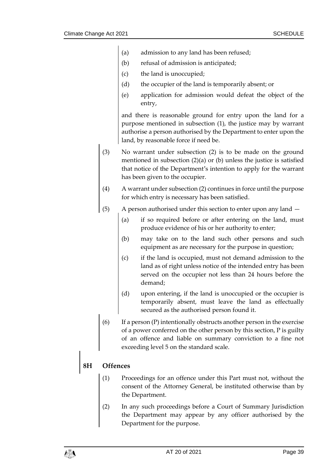- (a) admission to any land has been refused;
- (b) refusal of admission is anticipated;
- (c) the land is unoccupied;
- (d) the occupier of the land is temporarily absent; or
- (e) application for admission would defeat the object of the entry,

and there is reasonable ground for entry upon the land for a purpose mentioned in subsection (1), the justice may by warrant authorise a person authorised by the Department to enter upon the land, by reasonable force if need be.

- (3) No warrant under subsection (2) is to be made on the ground mentioned in subsection (2)(a) or (b) unless the justice is satisfied that notice of the Department's intention to apply for the warrant has been given to the occupier.
- (4) A warrant under subsection (2) continues in force until the purpose for which entry is necessary has been satisfied.
- (5) A person authorised under this section to enter upon any land
	- (a) if so required before or after entering on the land, must produce evidence of his or her authority to enter;
	- (b) may take on to the land such other persons and such equipment as are necessary for the purpose in question;
	- (c) if the land is occupied, must not demand admission to the land as of right unless notice of the intended entry has been served on the occupier not less than 24 hours before the demand;
	- (d) upon entering, if the land is unoccupied or the occupier is temporarily absent, must leave the land as effectually secured as the authorised person found it.
- (6) If a person  $(P)$  intentionally obstructs another person in the exercise of a power conferred on the other person by this section, P is guilty of an offence and liable on summary conviction to a fine not exceeding level 5 on the standard scale.

# **8H Offences**

- (1) Proceedings for an offence under this Part must not, without the consent of the Attorney General, be instituted otherwise than by the Department.
- (2) In any such proceedings before a Court of Summary Jurisdiction the Department may appear by any officer authorised by the Department for the purpose.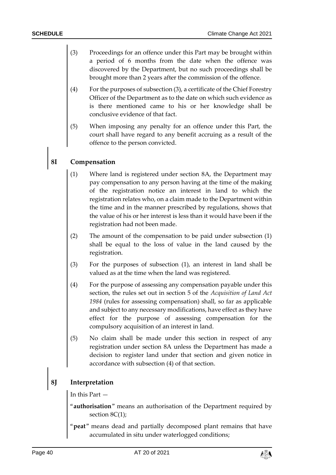- (3) Proceedings for an offence under this Part may be brought within a period of 6 months from the date when the offence was discovered by the Department, but no such proceedings shall be brought more than 2 years after the commission of the offence.
- (4) For the purposes of subsection (3), a certificate of the Chief Forestry Officer of the Department as to the date on which such evidence as is there mentioned came to his or her knowledge shall be conclusive evidence of that fact.
- (5) When imposing any penalty for an offence under this Part, the court shall have regard to any benefit accruing as a result of the offence to the person convicted.

### **8I Compensation**

- (1) Where land is registered under section 8A, the Department may pay compensation to any person having at the time of the making of the registration notice an interest in land to which the registration relates who, on a claim made to the Department within the time and in the manner prescribed by regulations, shows that the value of his or her interest is less than it would have been if the registration had not been made.
- (2) The amount of the compensation to be paid under subsection (1) shall be equal to the loss of value in the land caused by the registration.
- (3) For the purposes of subsection (1), an interest in land shall be valued as at the time when the land was registered.
- (4) For the purpose of assessing any compensation payable under this section, the rules set out in section 5 of the *Acquisition of Land Act 1984* (rules for assessing compensation) shall, so far as applicable and subject to any necessary modifications, have effect as they have effect for the purpose of assessing compensation for the compulsory acquisition of an interest in land.
- (5) No claim shall be made under this section in respect of any registration under section 8A unless the Department has made a decision to register land under that section and given notice in accordance with subsection (4) of that section.

### **8J Interpretation**

In this Part —

- "**authorisation**" means an authorisation of the Department required by section 8C(1);
- "**peat**" means dead and partially decomposed plant remains that have accumulated in situ under waterlogged conditions;

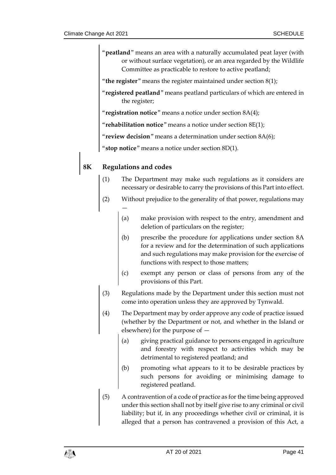- "**peatland**" means an area with a naturally accumulated peat layer (with or without surface vegetation), or an area regarded by the Wildlife Committee as practicable to restore to active peatland;
- "**the register**" means the register maintained under section 8(1);
- "**registered peatland**" means peatland particulars of which are entered in the register;
- "**registration notice**" means a notice under section 8A(4);
- "**rehabilitation notice**" means a notice under section 8E(1);

"**review decision**" means a determination under section 8A(6);

"**stop notice**" means a notice under section 8D(1).

### **8K Regulations and codes**

- (1) The Department may make such regulations as it considers are necessary or desirable to carry the provisions of this Part into effect.
- (2) Without prejudice to the generality of that power, regulations may —
	- (a) make provision with respect to the entry, amendment and deletion of particulars on the register;
	- (b) prescribe the procedure for applications under section 8A for a review and for the determination of such applications and such regulations may make provision for the exercise of functions with respect to those matters;
	- (c) exempt any person or class of persons from any of the provisions of this Part.
- (3) Regulations made by the Department under this section must not come into operation unless they are approved by Tynwald.
- (4) The Department may by order approve any code of practice issued (whether by the Department or not, and whether in the Island or elsewhere) for the purpose of —
	- (a) giving practical guidance to persons engaged in agriculture and forestry with respect to activities which may be detrimental to registered peatland; and
	- (b) promoting what appears to it to be desirable practices by such persons for avoiding or minimising damage to registered peatland.
- (5) A contravention of a code of practice as for the time being approved under this section shall not by itself give rise to any criminal or civil liability; but if, in any proceedings whether civil or criminal, it is alleged that a person has contravened a provision of this Act, a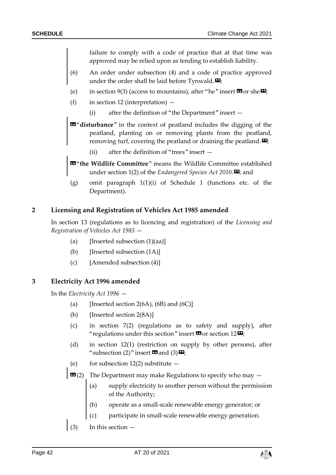failure to comply with a code of practice that at that time was approved may be relied upon as tending to establish liability.

- (6) An order under subsection (4) and a code of practice approved under the order shall be laid before Tynwald. $\mathbf{E}$ ;
- (e) in section 9(3) (access to mountains), after "he" insert  $\mathbf{G}$  or she  $\mathbf{E}$ ;
- (f) in section 12 (interpretation)
	- (i) after the definition of "the Department" insert —
- «"**disturbance**" in the context of peatland includes the digging of the peatland, planting on or removing plants from the peatland, removing turf, covering the peatland or draining the peatland. $\mathbf{E}$ ;
	- (ii) after the definition of "trees" insert —
- «"**the Wildlife Committee**" means the Wildlife Committee established under section 1(2) of the *Endangered Species Act 2010*.<sup> $\mathbf{D}$ </sup>; and
- (g) omit paragraph 1(1)(i) of Schedule 1 (functions etc. of the Department).

#### **2 Licensing and Registration of Vehicles Act 1985 amended**

In section 13 (regulations as to licencing and registration) of the *Licensing and Registration of Vehicles Act 1985* —

- (a) [Inserted subsection  $(1)(aa)$ ]
- (b) [Inserted subsection (1A)]
- (c) [Amended subsection (4)]

### <span id="page-41-0"></span>**3 Electricity Act 1996 amended**

In the *Electricity Act 1996* —

- (a) [Inserted section  $2(6A)$ ,  $(6B)$  and  $(6C)$ ]
- (b) [Inserted section 2(8A)]
- (c) in section 7(2) (regulations as to safety and supply), after "regulations under this section" insert  $\mathbf{\Omega}$  or section 12 $\mathbf{\Sigma}$ ;
- (d) in section 12(1) (restriction on supply by other persons), after "subsection (2)" insert  $\mathbf{\Omega}$  and (3)  $\mathbf{\Sigma}$ ;
- (e) for subsection  $12(2)$  substitute  $-$
- $\mathbf{G}(2)$  The Department may make Regulations to specify who may  $-$ 
	- (a) supply electricity to another person without the permission of the Authority;
	- (b) operate as a small-scale renewable energy generator; or
	- (c) participate in small-scale renewable energy generation.
- (3) In this section —

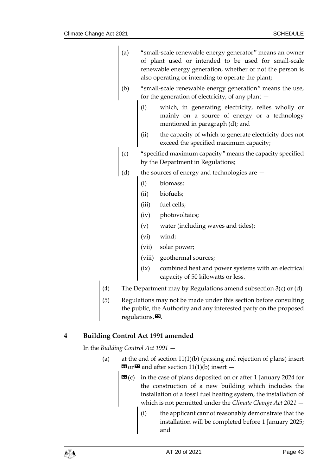| (a)                                                       | "small-scale renewable energy generator" means an owner |  |  |  |
|-----------------------------------------------------------|---------------------------------------------------------|--|--|--|
|                                                           | of plant used or intended to be used for small-scale    |  |  |  |
| renewable energy generation, whether or not the person is |                                                         |  |  |  |
|                                                           | also operating or intending to operate the plant;       |  |  |  |

- (b) "small-scale renewable energy generation" means the use, for the generation of electricity, of any plant —
	- (i) which, in generating electricity, relies wholly or mainly on a source of energy or a technology mentioned in paragraph (d); and
	- (ii) the capacity of which to generate electricity does not exceed the specified maximum capacity;
- (c) "specified maximum capacity" means the capacity specified by the Department in Regulations;
- (d) the sources of energy and technologies are
	- (i) biomass;
	- (ii) biofuels;
	- (iii) fuel cells;
	- (iv) photovoltaics;
	- (v) water (including waves and tides);
	- (vi) wind;
	- (vii) solar power;
	- (viii) geothermal sources;
	- (ix) combined heat and power systems with an electrical capacity of 50 kilowatts or less.
- (4) The Department may by Regulations amend subsection  $3(c)$  or (d).
- (5) Regulations may not be made under this section before consulting the public, the Authority and any interested party on the proposed regulations. $\mathbf{E}$ .

# **4 Building Control Act 1991 amended**

In the *Building Control Act 1991* —

- (a) at the end of section 11(1)(b) (passing and rejection of plans) insert  $\mathbf{G}$  or  $\mathbf{D}$  and after section 11(1)(b) insert –
	- **(c) in the case of plans deposited on or after 1 January 2024 for** the construction of a new building which includes the installation of a fossil fuel heating system, the installation of which is not permitted under the *Climate Change Act 2021* —
		- (i) the applicant cannot reasonably demonstrate that the installation will be completed before 1 January 2025; and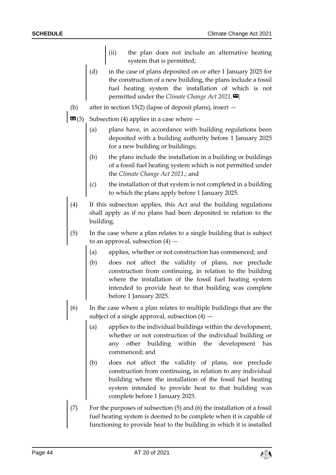- (ii) the plan does not include an alternative heating system that is permitted;
- (d) in the case of plans deposited on or after 1 January 2025 for the construction of a new building, the plans include a fossil fuel heating system the installation of which is not permitted under the *Climate Change Act* 2021.
- (b) after in section 15(2) (lapse of deposit plans), insert —
- $\mathbf{G}(3)$  Subsection (4) applies in a case where  $-$ 
	- (a) plans have, in accordance with building regulations been deposited with a building authority before 1 January 2025 for a new building or buildings;
	- (b) the plans include the installation in a building or buildings of a fossil fuel heating system which is not permitted under the *Climate Change Act 2021*.; and
	- (c) the installation of that system is not completed in a building to which the plans apply before 1 January 2025.
	- (4) If this subsection applies, this Act and the building regulations shall apply as if no plans had been deposited in relation to the building.
	- (5) In the case where a plan relates to a single building that is subject to an approval, subsection  $(4)$  –
		- (a) applies, whether or not construction has commenced; and
		- (b) does not affect the validity of plans, nor preclude construction from continuing, in relation to the building where the installation of the fossil fuel heating system intended to provide heat to that building was complete before 1 January 2025.
- (6) In the case where a plan relates to multiple buildings that are the subject of a single approval, subsection  $(4)$  –
	- (a) applies to the individual buildings within the development, whether or not construction of the individual building or any other building within the development has commenced; and
	- (b) does not affect the validity of plans, nor preclude construction from continuing, in relation to any individual building where the installation of the fossil fuel heating system intended to provide heat to that building was complete before 1 January 2025.
- (7) For the purposes of subsection (5) and (6) the installation of a fossil fuel heating system is deemed to be complete when it is capable of functioning to provide heat to the building in which it is installed

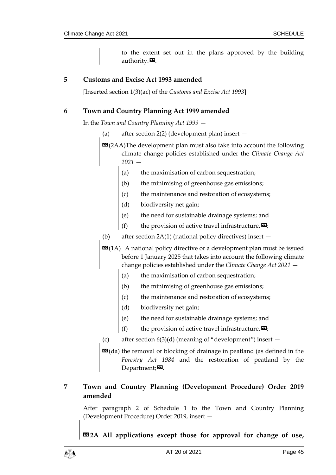to the extent set out in the plans approved by the building authority. $\mathbf{E}$ .

### **5 Customs and Excise Act 1993 amended**

[Inserted section 1(3)(ac) of the *Customs and Excise Act 1993*]

### **6 Town and Country Planning Act 1999 amended**

In the *Town and Country Planning Act 1999* —

(a) after section 2(2) (development plan) insert —

**EG**(2AA)The development plan must also take into account the following climate change policies established under the *Climate Change Act 2021* —

- (a) the maximisation of carbon sequestration;
- (b) the minimising of greenhouse gas emissions;
- (c) the maintenance and restoration of ecosystems;
- (d) biodiversity net gain;
- (e) the need for sustainable drainage systems; and
- (f) the provision of active travel infrastructure.  $\mathbf{E}$ ;
- (b) after section 2A(1) (national policy directives) insert —
- **EE** (1A) A national policy directive or a development plan must be issued before 1 January 2025 that takes into account the following climate change policies established under the *Climate Change Act 2021* —
	- (a) the maximisation of carbon sequestration;
	- (b) the minimising of greenhouse gas emissions;
	- (c) the maintenance and restoration of ecosystems;
	- (d) biodiversity net gain;
	- (e) the need for sustainable drainage systems; and
	- (f) the provision of active travel infrastructure.  $\mathbf{E}$ ;
- (c) after section  $6(3)(d)$  (meaning of "development") insert  $-$

**EG**(da) the removal or blocking of drainage in peatland (as defined in the *Forestry Act 1984* and the restoration of peatland by the Department; $\boldsymbol{\mathsf{E}}$ .

# **7 Town and Country Planning (Development Procedure) Order 2019 amended**

After paragraph 2 of Schedule 1 to the Town and Country Planning (Development Procedure) Order 2019, insert —

**«2A All applications except those for approval for change of use,** 

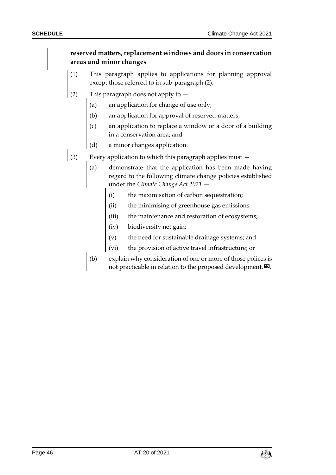# **reserved matters, replacement windows and doors in conservation areas and minor changes**

- (1) This paragraph applies to applications for planning approval except those referred to in sub-paragraph (2).
- (2) This paragraph does not apply to
	- (a) an application for change of use only;
	- (b) an application for approval of reserved matters;
	- (c) an application to replace a window or a door of a building in a conservation area; and
	- (d) a minor changes application.
- (3) Every application to which this paragraph applies must  $-$ 
	- (a) demonstrate that the application has been made having regard to the following climate change policies established under the *Climate Change Act 2021* —
		- (i) the maximisation of carbon sequestration;
		- (ii) the minimising of greenhouse gas emissions;
		- (iii) the maintenance and restoration of ecosystems;
		- (iv) biodiversity net gain;
		- (v) the need for sustainable drainage systems; and
		- (vi) the provision of active travel infrastructure; or
	- (b) explain why consideration of one or more of those polices is not practicable in relation to the proposed development. $\boldsymbol{\mathsf{\Xi}}$ .